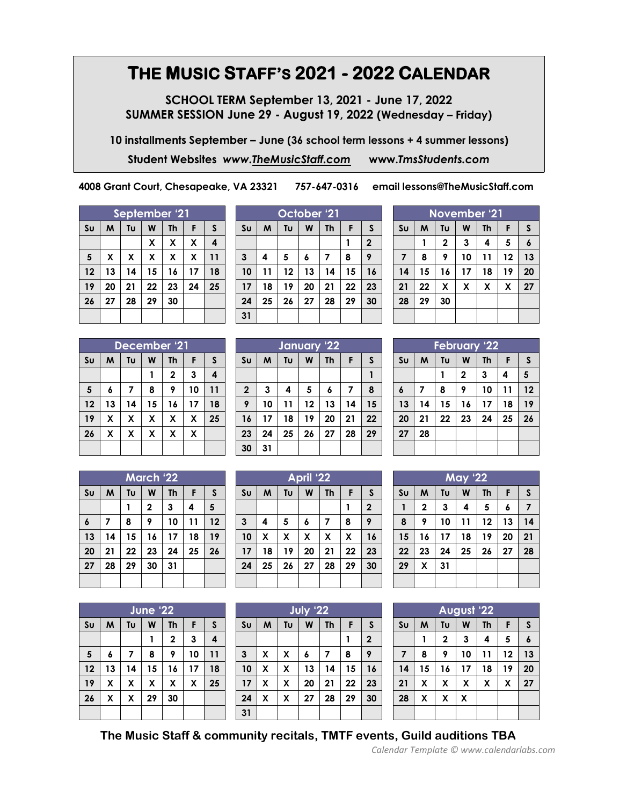## **THE MUSIC STAFF'S 2021 - 2022 CALENDAR**

**SCHOOL TERM September 13, 2021 - June 17, 2022 SUMMER SESSION June 29 - August 19, 2022 (Wednesday – Friday)**

**10 installments September – June (36 school term lessons + 4 summer lessons)**

**Student Websites** *www[.TheMusicStaff.com](http://themusicstaff.com/)* **www.***[TmsStudents.com](http://www.tmsstudents.com/)*

**4008 Grant Court, Chesapeake, VA 23321 757-647-0316 email lessons@TheMusicStaff.com**

| September '21  |    |    |    |           |    |                         |  |  |  |
|----------------|----|----|----|-----------|----|-------------------------|--|--|--|
| S <sub>U</sub> | M  | Tυ | W  | <b>Th</b> | F  | S                       |  |  |  |
|                |    |    | X  | X         | X  | $\overline{\mathbf{4}}$ |  |  |  |
| 5              | X  | X  | X  | X         | X  | 11                      |  |  |  |
| 12             | 13 | 14 | 15 | 16        | 17 | 18                      |  |  |  |
| 19             | 20 | 21 | 22 | 23        | 24 | 25                      |  |  |  |
| 26             | 27 | 28 | 29 | 30        |    |                         |  |  |  |
|                |    |    |    |           |    |                         |  |  |  |

| October '21    |    |    |    |           |    |              |  |
|----------------|----|----|----|-----------|----|--------------|--|
| S <sub>U</sub> | M  | Tu | W  | <b>Th</b> | F  | S            |  |
|                |    |    |    |           |    | $\mathbf{2}$ |  |
| 3              | 4  | 5  | 6  | 7         | 8  | 9            |  |
| 10             | 11 | 12 | 13 | 14        | 15 | 16           |  |
| 17             | 18 | 19 | 20 | 21        | 22 | 23           |  |
| 24             | 25 | 26 | 27 | 28        | 29 | 30           |  |
| 31             |    |    |    |           |    |              |  |

| November '21   |    |             |    |           |    |    |  |  |
|----------------|----|-------------|----|-----------|----|----|--|--|
| S <sub>U</sub> | M  | Tu          | W  | <b>Th</b> | F  | S  |  |  |
|                |    | $\mathbf 2$ | 3  | 4         | 5  | 6  |  |  |
| 7              | 8  | 9           | 10 | 11        | 12 | 13 |  |  |
| 14             | 15 | 16          | 17 | 18        | 19 | 20 |  |  |
| 21             | 22 | X           | X  | X         | χ  | 27 |  |  |
| 28             | 29 | 30          |    |           |    |    |  |  |
|                |    |             |    |           |    |    |  |  |
|                |    |             |    |           |    |    |  |  |

| December '21   |    |    |    |              |    |    |  |
|----------------|----|----|----|--------------|----|----|--|
| S <sub>U</sub> | M  | Tu | W  | Th           | F  | S  |  |
|                |    |    | 1  | $\mathbf{2}$ | 3  | 4  |  |
| 5              | 6  | 7  | 8  | 9            | 10 | 11 |  |
| 12             | 13 | 14 | 15 | 16           | 17 | 18 |  |
| 19             | X  | X  | X  | X            | X  | 25 |  |
| 26             | χ  | X  | X  | X            | X  |    |  |
|                |    |    |    |              |    |    |  |

| March '22      |    |    |              |    |    |    |  |
|----------------|----|----|--------------|----|----|----|--|
| S <sub>U</sub> | M  | Tυ | W            | Th | F  | S  |  |
|                |    |    | $\mathbf{2}$ | 3  | 4  | 5  |  |
| 6              | 7  | 8  | 9            | 10 | 11 | 12 |  |
| 13             | 14 | 15 | 16           | 17 | 18 | 19 |  |
| 20             | 21 | 22 | 23           | 24 | 25 | 26 |  |
| 27             | 28 | 29 | 30           | 31 |    |    |  |
|                |    |    |              |    |    |    |  |

| June '22       |    |    |    |             |    |              |  |
|----------------|----|----|----|-------------|----|--------------|--|
| S <sub>U</sub> | M  | Tυ | W  | <b>Th</b>   | F  | $\mathsf{s}$ |  |
|                |    |    | 1  | $\mathbf 2$ | 3  | 4            |  |
| 5              | 6  | 7  | 8  | 9           | 10 | 11           |  |
| 12             | 13 | 14 | 15 | 16          | 17 | 18           |  |
| 19             | X  | X  | χ  | X           | X  | 25           |  |
| 26             | X  | X  | 29 | 30          |    |              |  |
|                |    |    |    |             |    |              |  |

|                | January 22 |    |    |           |    |    |  |  |
|----------------|------------|----|----|-----------|----|----|--|--|
| S <sub>U</sub> | M          | Tu | W  | <b>Th</b> | F  | S  |  |  |
|                |            |    |    |           |    |    |  |  |
| $\mathbf{2}$   | 3          | 4  | 5  | 6         | 7  | 8  |  |  |
| 9              | 10         | 11 | 12 | 13        | 14 | 15 |  |  |
| 16             | 17         | 18 | 19 | 20        | 21 | 22 |  |  |
| 23             | 24         | 25 | 26 | 27        | 28 | 29 |  |  |
| 30             | 31         |    |    |           |    |    |  |  |

| April '22      |                    |    |    |           |    |              |  |
|----------------|--------------------|----|----|-----------|----|--------------|--|
| S <sub>U</sub> | M                  | Tu | W  | <b>Th</b> | F  | S            |  |
|                |                    |    |    |           |    | $\mathbf{2}$ |  |
| 3              | 4                  | 5  | 6  | 7         | 8  | 9            |  |
| 10             | $\pmb{\mathsf{X}}$ | χ  | X  | X         | X  | 16           |  |
| 17             | 18                 | 19 | 20 | 21        | 22 | 23           |  |
| 24             | 25                 | 26 | 27 | 28        | 29 | 30           |  |
|                |                    |    |    |           |    |              |  |

| <b>July '22</b> |   |    |    |           |    |                  |  |
|-----------------|---|----|----|-----------|----|------------------|--|
| S <sub>U</sub>  | M | Tυ | W  | <b>Th</b> | F  | S                |  |
|                 |   |    |    |           |    | $\boldsymbol{2}$ |  |
| 3               | X | X  | 6  | 7         | 8  | 9                |  |
| 10              | X | X  | 13 | 14        | 15 | 16               |  |
| 17              | X | X  | 20 | 21        | 22 | 23               |  |
| 24              | X | X  | 27 | 28        | 29 | 30               |  |
| 31              |   |    |    |           |    |                  |  |

| <b>February '22</b> |    |    |              |           |    |              |  |  |  |
|---------------------|----|----|--------------|-----------|----|--------------|--|--|--|
| S <sub>U</sub>      | M  | Tυ | W            | <b>Th</b> | F  | $\mathsf{s}$ |  |  |  |
|                     |    |    | $\mathbf{2}$ | 3         | 4  | 5            |  |  |  |
| $\boldsymbol{6}$    | 7  | 8  | 9            | 10        | 11 | 12           |  |  |  |
| 13                  | 14 | 15 | 16           | 17        | 18 | 19           |  |  |  |
| 20                  | 21 | 22 | 23           | 24        | 25 | 26           |  |  |  |
| 27                  | 28 |    |              |           |    |              |  |  |  |
|                     |    |    |              |           |    |              |  |  |  |

| <b>May '22</b> |              |    |    |           |    |    |  |  |  |
|----------------|--------------|----|----|-----------|----|----|--|--|--|
| Su             | M            | Tυ | W  | <b>Th</b> | F  | S  |  |  |  |
| 1              | $\mathbf{2}$ | 3  | 4  | 5         | 6  | 7  |  |  |  |
| 8              | 9            | 10 | 11 | 12        | 13 | 14 |  |  |  |
| 15             | 16           | 17 | 18 | 19        | 20 | 21 |  |  |  |
| 22             | 23           | 24 | 25 | 26        | 27 | 28 |  |  |  |
| 29             | χ            | 31 |    |           |    |    |  |  |  |
|                |              |    |    |           |    |    |  |  |  |

| <b>August '22</b>       |    |                         |    |           |    |    |  |  |  |
|-------------------------|----|-------------------------|----|-----------|----|----|--|--|--|
| S <sub>U</sub>          | M  | Tυ                      | W  | <b>Th</b> | F  | S  |  |  |  |
|                         |    | $\overline{\mathbf{c}}$ | 3  | 4         | 5  | 6  |  |  |  |
| $\overline{\mathbf{z}}$ | 8  | 9                       | 10 | 11        | 12 | 13 |  |  |  |
| 14                      | 15 | 16                      | 17 | 18        | 19 | 20 |  |  |  |
| 21                      | χ  | X                       | X  | X         | χ  | 27 |  |  |  |
| 28                      | χ  | X                       | X  |           |    |    |  |  |  |
|                         |    |                         |    |           |    |    |  |  |  |

**The Music Staff & community recitals, TMTF events, Guild auditions TBA**